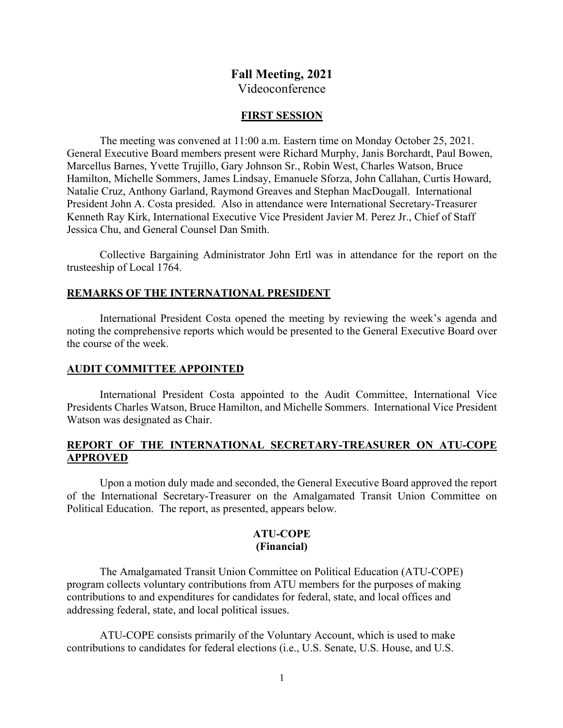## **Fall Meeting, 2021**

Videoconference

#### **FIRST SESSION**

The meeting was convened at 11:00 a.m. Eastern time on Monday October 25, 2021. General Executive Board members present were Richard Murphy, Janis Borchardt, Paul Bowen, Marcellus Barnes, Yvette Trujillo, Gary Johnson Sr., Robin West, Charles Watson, Bruce Hamilton, Michelle Sommers, James Lindsay, Emanuele Sforza, John Callahan, Curtis Howard, Natalie Cruz, Anthony Garland, Raymond Greaves and Stephan MacDougall. International President John A. Costa presided. Also in attendance were International Secretary-Treasurer Kenneth Ray Kirk, International Executive Vice President Javier M. Perez Jr., Chief of Staff Jessica Chu, and General Counsel Dan Smith.

Collective Bargaining Administrator John Ertl was in attendance for the report on the trusteeship of Local 1764.

#### **REMARKS OF THE INTERNATIONAL PRESIDENT**

International President Costa opened the meeting by reviewing the week's agenda and noting the comprehensive reports which would be presented to the General Executive Board over the course of the week.

#### **AUDIT COMMITTEE APPOINTED**

International President Costa appointed to the Audit Committee, International Vice Presidents Charles Watson, Bruce Hamilton, and Michelle Sommers. International Vice President Watson was designated as Chair.

## **REPORT OF THE INTERNATIONAL SECRETARY-TREASURER ON ATU-COPE APPROVED**

Upon a motion duly made and seconded, the General Executive Board approved the report of the International Secretary-Treasurer on the Amalgamated Transit Union Committee on Political Education. The report, as presented, appears below.

#### **ATU-COPE (Financial)**

The Amalgamated Transit Union Committee on Political Education (ATU-COPE) program collects voluntary contributions from ATU members for the purposes of making contributions to and expenditures for candidates for federal, state, and local offices and addressing federal, state, and local political issues.

ATU-COPE consists primarily of the Voluntary Account, which is used to make contributions to candidates for federal elections (i.e., U.S. Senate, U.S. House, and U.S.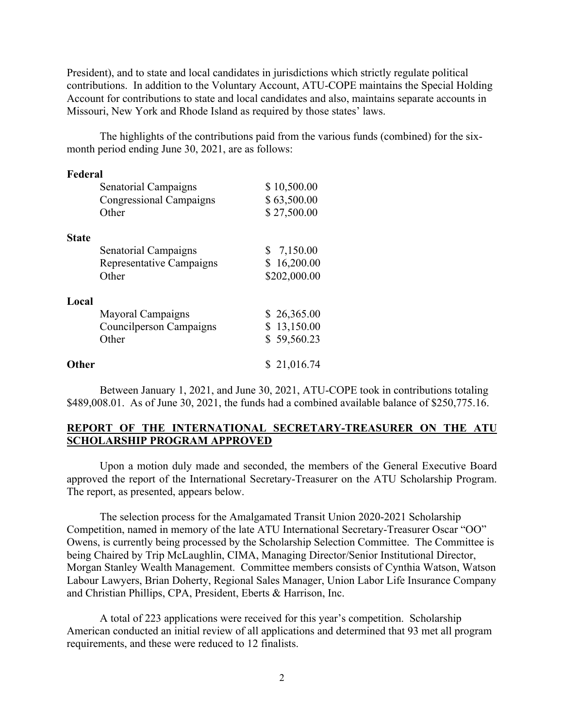President), and to state and local candidates in jurisdictions which strictly regulate political contributions. In addition to the Voluntary Account, ATU-COPE maintains the Special Holding Account for contributions to state and local candidates and also, maintains separate accounts in Missouri, New York and Rhode Island as required by those states' laws.

The highlights of the contributions paid from the various funds (combined) for the sixmonth period ending June 30, 2021, are as follows:

| Federal      |                          |              |
|--------------|--------------------------|--------------|
|              | Senatorial Campaigns     | \$10,500.00  |
|              | Congressional Campaigns  | \$63,500.00  |
|              | Other                    | \$27,500.00  |
| <b>State</b> |                          |              |
|              | Senatorial Campaigns     | \$7,150.00   |
|              | Representative Campaigns | \$16,200.00  |
|              | Other                    | \$202,000.00 |
| Local        |                          |              |
|              | Mayoral Campaigns        | \$26,365.00  |
|              | Councilperson Campaigns  | \$13,150.00  |
|              | Other                    | \$59,560.23  |
| Other        |                          | \$21,016.74  |

Between January 1, 2021, and June 30, 2021, ATU-COPE took in contributions totaling \$489,008.01. As of June 30, 2021, the funds had a combined available balance of \$250,775.16.

## **REPORT OF THE INTERNATIONAL SECRETARY-TREASURER ON THE ATU SCHOLARSHIP PROGRAM APPROVED**

Upon a motion duly made and seconded, the members of the General Executive Board approved the report of the International Secretary-Treasurer on the ATU Scholarship Program. The report, as presented, appears below.

The selection process for the Amalgamated Transit Union 2020-2021 Scholarship Competition, named in memory of the late ATU International Secretary-Treasurer Oscar "OO" Owens, is currently being processed by the Scholarship Selection Committee. The Committee is being Chaired by Trip McLaughlin, CIMA, Managing Director/Senior Institutional Director, Morgan Stanley Wealth Management. Committee members consists of Cynthia Watson, Watson Labour Lawyers, Brian Doherty, Regional Sales Manager, Union Labor Life Insurance Company and Christian Phillips, CPA, President, Eberts & Harrison, Inc.

A total of 223 applications were received for this year's competition. Scholarship American conducted an initial review of all applications and determined that 93 met all program requirements, and these were reduced to 12 finalists.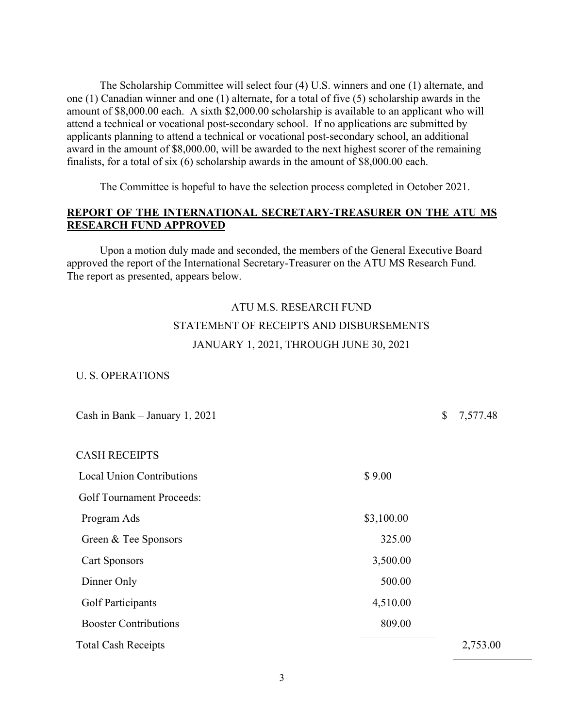The Scholarship Committee will select four (4) U.S. winners and one (1) alternate, and one (1) Canadian winner and one (1) alternate, for a total of five (5) scholarship awards in the amount of \$8,000.00 each. A sixth \$2,000.00 scholarship is available to an applicant who will attend a technical or vocational post-secondary school. If no applications are submitted by applicants planning to attend a technical or vocational post-secondary school, an additional award in the amount of \$8,000.00, will be awarded to the next highest scorer of the remaining finalists, for a total of six (6) scholarship awards in the amount of \$8,000.00 each.

The Committee is hopeful to have the selection process completed in October 2021.

## **REPORT OF THE INTERNATIONAL SECRETARY-TREASURER ON THE ATU MS RESEARCH FUND APPROVED**

Upon a motion duly made and seconded, the members of the General Executive Board approved the report of the International Secretary-Treasurer on the ATU MS Research Fund. The report as presented, appears below.

# ATU M.S. RESEARCH FUND STATEMENT OF RECEIPTS AND DISBURSEMENTS JANUARY 1, 2021, THROUGH JUNE 30, 2021

#### U. S. OPERATIONS

| Cash in Bank – January 1, 2021             |            |  | 7,577.48 |
|--------------------------------------------|------------|--|----------|
| <b>CASH RECEIPTS</b>                       |            |  |          |
| <b>Local Union Contributions</b><br>\$9.00 |            |  |          |
| <b>Golf Tournament Proceeds:</b>           |            |  |          |
| Program Ads                                | \$3,100.00 |  |          |
| Green & Tee Sponsors                       | 325.00     |  |          |
| <b>Cart Sponsors</b>                       | 3,500.00   |  |          |
| Dinner Only                                | 500.00     |  |          |
| <b>Golf Participants</b>                   | 4,510.00   |  |          |
| <b>Booster Contributions</b>               | 809.00     |  |          |
| <b>Total Cash Receipts</b>                 |            |  | 2,753.00 |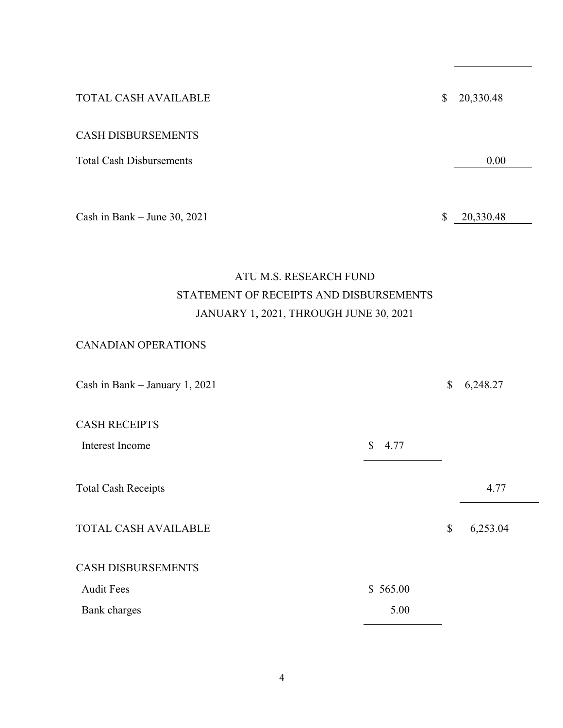TOTAL CASH AVAILABLE \$20,330.48 CASH DISBURSEMENTS Total Cash Disbursements 0.00

Cash in Bank – June 30, 2021  $\qquad$   $\qquad$  20,330.48

# ATU M.S. RESEARCH FUND STATEMENT OF RECEIPTS AND DISBURSEMENTS JANUARY 1, 2021, THROUGH JUNE 30, 2021

## CANADIAN OPERATIONS

| Cash in Bank - January 1, 2021 |                      |    | 6,248.27 |
|--------------------------------|----------------------|----|----------|
| <b>CASH RECEIPTS</b>           |                      |    |          |
| Interest Income                | $\mathbb{S}$<br>4.77 |    |          |
| <b>Total Cash Receipts</b>     |                      |    | 4.77     |
|                                |                      |    |          |
| <b>TOTAL CASH AVAILABLE</b>    |                      | \$ | 6,253.04 |
| <b>CASH DISBURSEMENTS</b>      |                      |    |          |
|                                |                      |    |          |
| <b>Audit Fees</b>              | \$565.00             |    |          |
| <b>Bank</b> charges            | 5.00                 |    |          |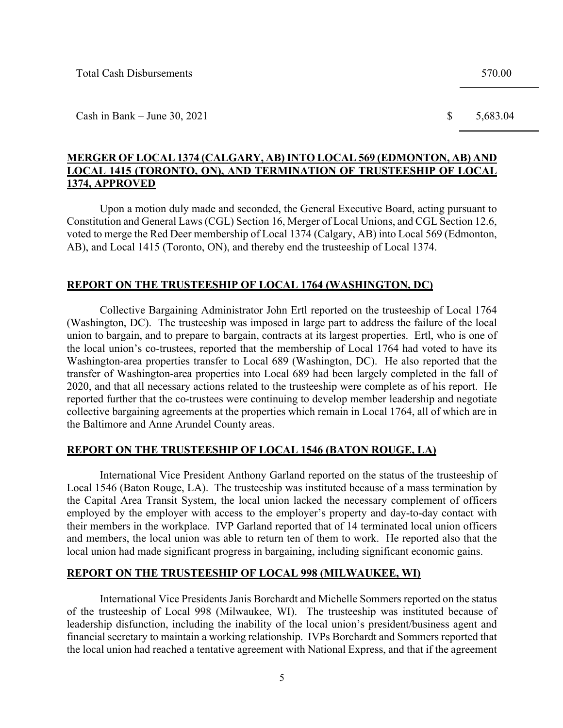Cash in Bank – June 30, 2021  $\qquad \qquad$  5,683.04

## **MERGER OF LOCAL 1374 (CALGARY, AB)INTO LOCAL 569 (EDMONTON, AB) AND LOCAL 1415 (TORONTO, ON), AND TERMINATION OF TRUSTEESHIP OF LOCAL 1374, APPROVED**

Upon a motion duly made and seconded, the General Executive Board, acting pursuant to Constitution and General Laws (CGL) Section 16, Merger of Local Unions, and CGL Section 12.6, voted to merge the Red Deer membership of Local 1374 (Calgary, AB) into Local 569 (Edmonton, AB), and Local 1415 (Toronto, ON), and thereby end the trusteeship of Local 1374.

## **REPORT ON THE TRUSTEESHIP OF LOCAL 1764 (WASHINGTON, DC)**

Collective Bargaining Administrator John Ertl reported on the trusteeship of Local 1764 (Washington, DC). The trusteeship was imposed in large part to address the failure of the local union to bargain, and to prepare to bargain, contracts at its largest properties. Ertl, who is one of the local union's co-trustees, reported that the membership of Local 1764 had voted to have its Washington-area properties transfer to Local 689 (Washington, DC). He also reported that the transfer of Washington-area properties into Local 689 had been largely completed in the fall of 2020, and that all necessary actions related to the trusteeship were complete as of his report. He reported further that the co-trustees were continuing to develop member leadership and negotiate collective bargaining agreements at the properties which remain in Local 1764, all of which are in the Baltimore and Anne Arundel County areas.

## **REPORT ON THE TRUSTEESHIP OF LOCAL 1546 (BATON ROUGE, LA)**

International Vice President Anthony Garland reported on the status of the trusteeship of Local 1546 (Baton Rouge, LA). The trusteeship was instituted because of a mass termination by the Capital Area Transit System, the local union lacked the necessary complement of officers employed by the employer with access to the employer's property and day-to-day contact with their members in the workplace. IVP Garland reported that of 14 terminated local union officers and members, the local union was able to return ten of them to work. He reported also that the local union had made significant progress in bargaining, including significant economic gains.

## **REPORT ON THE TRUSTEESHIP OF LOCAL 998 (MILWAUKEE, WI)**

International Vice Presidents Janis Borchardt and Michelle Sommers reported on the status of the trusteeship of Local 998 (Milwaukee, WI). The trusteeship was instituted because of leadership disfunction, including the inability of the local union's president/business agent and financial secretary to maintain a working relationship. IVPs Borchardt and Sommers reported that the local union had reached a tentative agreement with National Express, and that if the agreement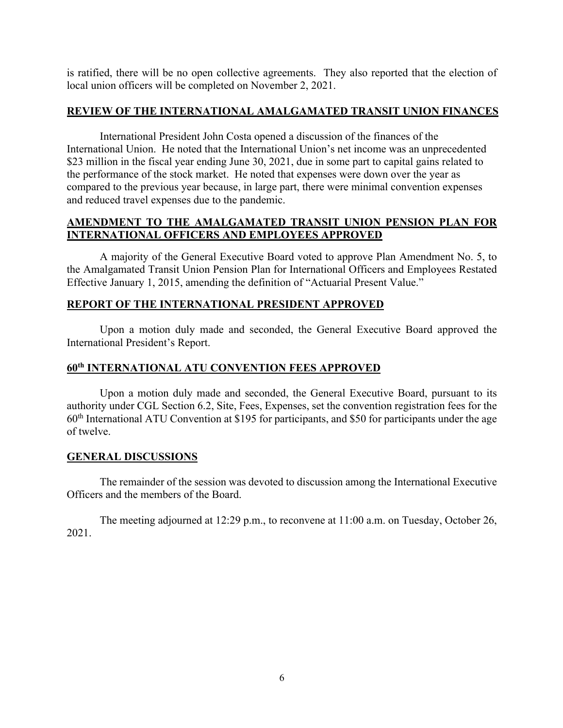is ratified, there will be no open collective agreements. They also reported that the election of local union officers will be completed on November 2, 2021.

## **REVIEW OF THE INTERNATIONAL AMALGAMATED TRANSIT UNION FINANCES**

International President John Costa opened a discussion of the finances of the International Union. He noted that the International Union's net income was an unprecedented \$23 million in the fiscal year ending June 30, 2021, due in some part to capital gains related to the performance of the stock market. He noted that expenses were down over the year as compared to the previous year because, in large part, there were minimal convention expenses and reduced travel expenses due to the pandemic.

## **AMENDMENT TO THE AMALGAMATED TRANSIT UNION PENSION PLAN FOR INTERNATIONAL OFFICERS AND EMPLOYEES APPROVED**

A majority of the General Executive Board voted to approve Plan Amendment No. 5, to the Amalgamated Transit Union Pension Plan for International Officers and Employees Restated Effective January 1, 2015, amending the definition of "Actuarial Present Value."

## **REPORT OF THE INTERNATIONAL PRESIDENT APPROVED**

Upon a motion duly made and seconded, the General Executive Board approved the International President's Report.

## **60th INTERNATIONAL ATU CONVENTION FEES APPROVED**

Upon a motion duly made and seconded, the General Executive Board, pursuant to its authority under CGL Section 6.2, Site, Fees, Expenses, set the convention registration fees for the  $60<sup>th</sup>$  International ATU Convention at \$195 for participants, and \$50 for participants under the age of twelve.

## **GENERAL DISCUSSIONS**

The remainder of the session was devoted to discussion among the International Executive Officers and the members of the Board.

The meeting adjourned at 12:29 p.m., to reconvene at 11:00 a.m. on Tuesday, October 26, 2021.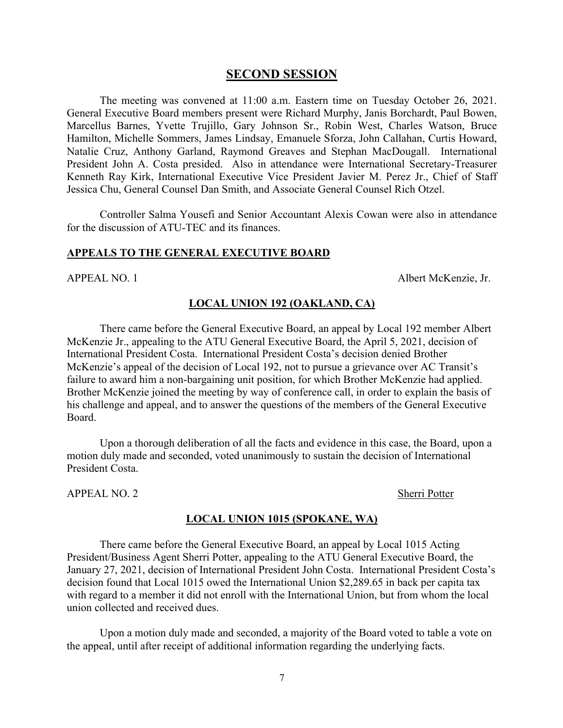## **SECOND SESSION**

The meeting was convened at 11:00 a.m. Eastern time on Tuesday October 26, 2021. General Executive Board members present were Richard Murphy, Janis Borchardt, Paul Bowen, Marcellus Barnes, Yvette Trujillo, Gary Johnson Sr., Robin West, Charles Watson, Bruce Hamilton, Michelle Sommers, James Lindsay, Emanuele Sforza, John Callahan, Curtis Howard, Natalie Cruz, Anthony Garland, Raymond Greaves and Stephan MacDougall. International President John A. Costa presided. Also in attendance were International Secretary-Treasurer Kenneth Ray Kirk, International Executive Vice President Javier M. Perez Jr., Chief of Staff Jessica Chu, General Counsel Dan Smith, and Associate General Counsel Rich Otzel.

Controller Salma Yousefi and Senior Accountant Alexis Cowan were also in attendance for the discussion of ATU-TEC and its finances.

#### **APPEALS TO THE GENERAL EXECUTIVE BOARD**

APPEAL NO. 1 Albert McKenzie, Jr.

## **LOCAL UNION 192 (OAKLAND, CA)**

There came before the General Executive Board, an appeal by Local 192 member Albert McKenzie Jr., appealing to the ATU General Executive Board, the April 5, 2021, decision of International President Costa. International President Costa's decision denied Brother McKenzie's appeal of the decision of Local 192, not to pursue a grievance over AC Transit's failure to award him a non-bargaining unit position, for which Brother McKenzie had applied. Brother McKenzie joined the meeting by way of conference call, in order to explain the basis of his challenge and appeal, and to answer the questions of the members of the General Executive Board.

Upon a thorough deliberation of all the facts and evidence in this case, the Board, upon a motion duly made and seconded, voted unanimously to sustain the decision of International President Costa.

APPEAL NO. 2 Sherri Potter

#### **LOCAL UNION 1015 (SPOKANE, WA)**

There came before the General Executive Board, an appeal by Local 1015 Acting President/Business Agent Sherri Potter, appealing to the ATU General Executive Board, the January 27, 2021, decision of International President John Costa. International President Costa's decision found that Local 1015 owed the International Union \$2,289.65 in back per capita tax with regard to a member it did not enroll with the International Union, but from whom the local union collected and received dues.

Upon a motion duly made and seconded, a majority of the Board voted to table a vote on the appeal, until after receipt of additional information regarding the underlying facts.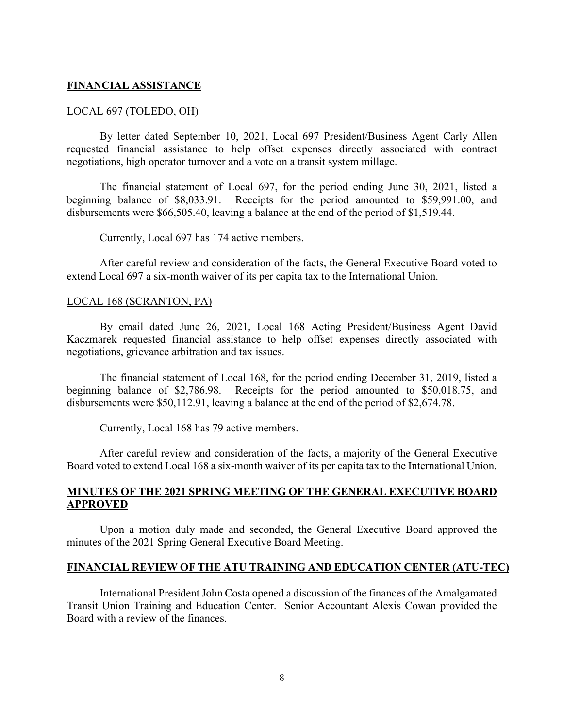### **FINANCIAL ASSISTANCE**

#### LOCAL 697 (TOLEDO, OH)

By letter dated September 10, 2021, Local 697 President/Business Agent Carly Allen requested financial assistance to help offset expenses directly associated with contract negotiations, high operator turnover and a vote on a transit system millage.

The financial statement of Local 697, for the period ending June 30, 2021, listed a beginning balance of \$8,033.91. Receipts for the period amounted to \$59,991.00, and disbursements were \$66,505.40, leaving a balance at the end of the period of \$1,519.44.

Currently, Local 697 has 174 active members.

After careful review and consideration of the facts, the General Executive Board voted to extend Local 697 a six-month waiver of its per capita tax to the International Union.

#### LOCAL 168 (SCRANTON, PA)

By email dated June 26, 2021, Local 168 Acting President/Business Agent David Kaczmarek requested financial assistance to help offset expenses directly associated with negotiations, grievance arbitration and tax issues.

The financial statement of Local 168, for the period ending December 31, 2019, listed a beginning balance of \$2,786.98. Receipts for the period amounted to \$50,018.75, and disbursements were \$50,112.91, leaving a balance at the end of the period of \$2,674.78.

Currently, Local 168 has 79 active members.

After careful review and consideration of the facts, a majority of the General Executive Board voted to extend Local 168 a six-month waiver of its per capita tax to the International Union.

## **MINUTES OF THE 2021 SPRING MEETING OF THE GENERAL EXECUTIVE BOARD APPROVED**

Upon a motion duly made and seconded, the General Executive Board approved the minutes of the 2021 Spring General Executive Board Meeting.

#### **FINANCIAL REVIEW OF THE ATU TRAINING AND EDUCATION CENTER (ATU-TEC)**

International President John Costa opened a discussion of the finances of the Amalgamated Transit Union Training and Education Center. Senior Accountant Alexis Cowan provided the Board with a review of the finances.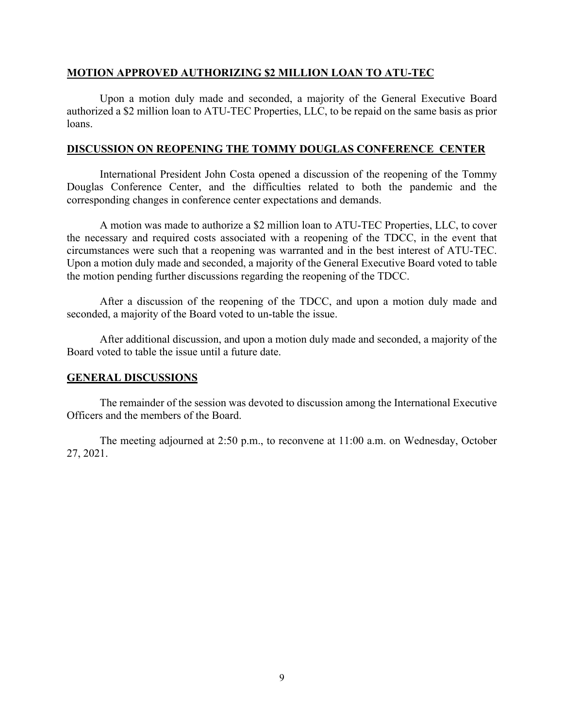## **MOTION APPROVED AUTHORIZING \$2 MILLION LOAN TO ATU-TEC**

Upon a motion duly made and seconded, a majority of the General Executive Board authorized a \$2 million loan to ATU-TEC Properties, LLC, to be repaid on the same basis as prior loans.

### **DISCUSSION ON REOPENING THE TOMMY DOUGLAS CONFERENCE CENTER**

International President John Costa opened a discussion of the reopening of the Tommy Douglas Conference Center, and the difficulties related to both the pandemic and the corresponding changes in conference center expectations and demands.

A motion was made to authorize a \$2 million loan to ATU-TEC Properties, LLC, to cover the necessary and required costs associated with a reopening of the TDCC, in the event that circumstances were such that a reopening was warranted and in the best interest of ATU-TEC. Upon a motion duly made and seconded, a majority of the General Executive Board voted to table the motion pending further discussions regarding the reopening of the TDCC.

After a discussion of the reopening of the TDCC, and upon a motion duly made and seconded, a majority of the Board voted to un-table the issue.

After additional discussion, and upon a motion duly made and seconded, a majority of the Board voted to table the issue until a future date.

## **GENERAL DISCUSSIONS**

The remainder of the session was devoted to discussion among the International Executive Officers and the members of the Board.

The meeting adjourned at 2:50 p.m., to reconvene at 11:00 a.m. on Wednesday, October 27, 2021.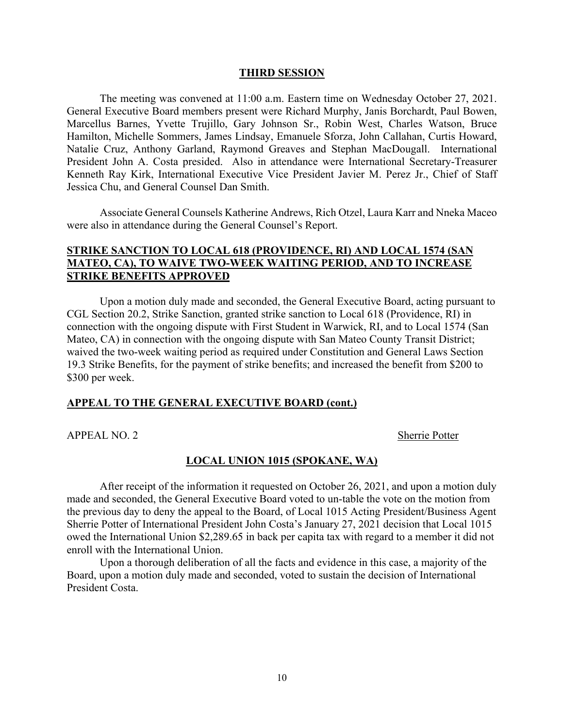#### **THIRD SESSION**

The meeting was convened at 11:00 a.m. Eastern time on Wednesday October 27, 2021. General Executive Board members present were Richard Murphy, Janis Borchardt, Paul Bowen, Marcellus Barnes, Yvette Trujillo, Gary Johnson Sr., Robin West, Charles Watson, Bruce Hamilton, Michelle Sommers, James Lindsay, Emanuele Sforza, John Callahan, Curtis Howard, Natalie Cruz, Anthony Garland, Raymond Greaves and Stephan MacDougall. International President John A. Costa presided. Also in attendance were International Secretary-Treasurer Kenneth Ray Kirk, International Executive Vice President Javier M. Perez Jr., Chief of Staff Jessica Chu, and General Counsel Dan Smith.

Associate General Counsels Katherine Andrews, Rich Otzel, Laura Karr and Nneka Maceo were also in attendance during the General Counsel's Report.

## **STRIKE SANCTION TO LOCAL 618 (PROVIDENCE, RI) AND LOCAL 1574 (SAN MATEO, CA), TO WAIVE TWO-WEEK WAITING PERIOD, AND TO INCREASE STRIKE BENEFITS APPROVED**

Upon a motion duly made and seconded, the General Executive Board, acting pursuant to CGL Section 20.2, Strike Sanction, granted strike sanction to Local 618 (Providence, RI) in connection with the ongoing dispute with First Student in Warwick, RI, and to Local 1574 (San Mateo, CA) in connection with the ongoing dispute with San Mateo County Transit District; waived the two-week waiting period as required under Constitution and General Laws Section 19.3 Strike Benefits, for the payment of strike benefits; and increased the benefit from \$200 to \$300 per week.

#### **APPEAL TO THE GENERAL EXECUTIVE BOARD (cont.)**

APPEAL NO. 2 Sherrie Potter

#### **LOCAL UNION 1015 (SPOKANE, WA)**

After receipt of the information it requested on October 26, 2021, and upon a motion duly made and seconded, the General Executive Board voted to un-table the vote on the motion from the previous day to deny the appeal to the Board, of Local 1015 Acting President/Business Agent Sherrie Potter of International President John Costa's January 27, 2021 decision that Local 1015 owed the International Union \$2,289.65 in back per capita tax with regard to a member it did not enroll with the International Union.

Upon a thorough deliberation of all the facts and evidence in this case, a majority of the Board, upon a motion duly made and seconded, voted to sustain the decision of International President Costa.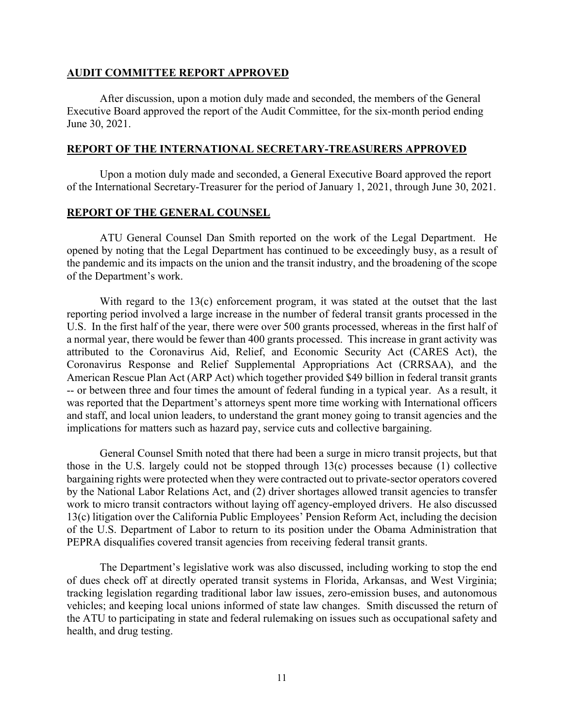#### **AUDIT COMMITTEE REPORT APPROVED**

After discussion, upon a motion duly made and seconded, the members of the General Executive Board approved the report of the Audit Committee, for the six-month period ending June 30, 2021.

#### **REPORT OF THE INTERNATIONAL SECRETARY-TREASURERS APPROVED**

Upon a motion duly made and seconded, a General Executive Board approved the report of the International Secretary-Treasurer for the period of January 1, 2021, through June 30, 2021.

## **REPORT OF THE GENERAL COUNSEL**

ATU General Counsel Dan Smith reported on the work of the Legal Department. He opened by noting that the Legal Department has continued to be exceedingly busy, as a result of the pandemic and its impacts on the union and the transit industry, and the broadening of the scope of the Department's work.

With regard to the 13(c) enforcement program, it was stated at the outset that the last reporting period involved a large increase in the number of federal transit grants processed in the U.S. In the first half of the year, there were over 500 grants processed, whereas in the first half of a normal year, there would be fewer than 400 grants processed. This increase in grant activity was attributed to the Coronavirus Aid, Relief, and Economic Security Act (CARES Act), the Coronavirus Response and Relief Supplemental Appropriations Act (CRRSAA), and the American Rescue Plan Act (ARP Act) which together provided \$49 billion in federal transit grants -- or between three and four times the amount of federal funding in a typical year. As a result, it was reported that the Department's attorneys spent more time working with International officers and staff, and local union leaders, to understand the grant money going to transit agencies and the implications for matters such as hazard pay, service cuts and collective bargaining.

General Counsel Smith noted that there had been a surge in micro transit projects, but that those in the U.S. largely could not be stopped through 13(c) processes because (1) collective bargaining rights were protected when they were contracted out to private-sector operators covered by the National Labor Relations Act, and (2) driver shortages allowed transit agencies to transfer work to micro transit contractors without laying off agency-employed drivers. He also discussed 13(c) litigation over the California Public Employees' Pension Reform Act, including the decision of the U.S. Department of Labor to return to its position under the Obama Administration that PEPRA disqualifies covered transit agencies from receiving federal transit grants.

The Department's legislative work was also discussed, including working to stop the end of dues check off at directly operated transit systems in Florida, Arkansas, and West Virginia; tracking legislation regarding traditional labor law issues, zero-emission buses, and autonomous vehicles; and keeping local unions informed of state law changes. Smith discussed the return of the ATU to participating in state and federal rulemaking on issues such as occupational safety and health, and drug testing.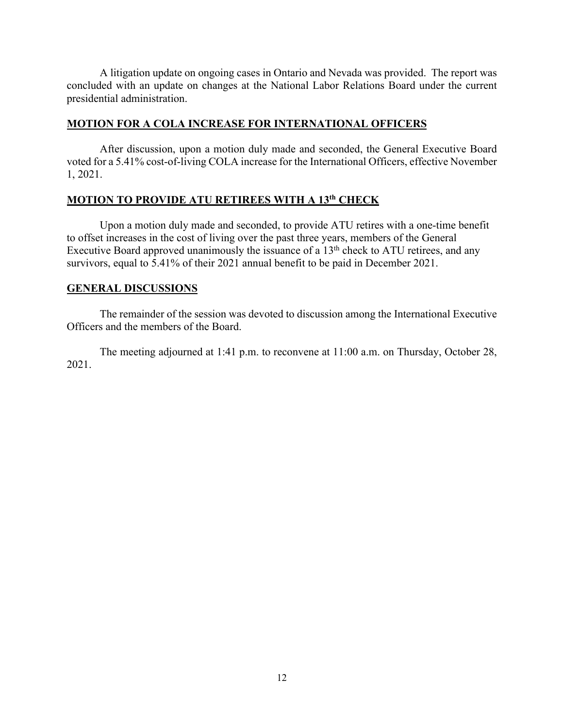A litigation update on ongoing cases in Ontario and Nevada was provided. The report was concluded with an update on changes at the National Labor Relations Board under the current presidential administration.

## **MOTION FOR A COLA INCREASE FOR INTERNATIONAL OFFICERS**

After discussion, upon a motion duly made and seconded, the General Executive Board voted for a 5.41% cost-of-living COLA increase for the International Officers, effective November 1, 2021.

## **MOTION TO PROVIDE ATU RETIREES WITH A 13th CHECK**

Upon a motion duly made and seconded, to provide ATU retires with a one-time benefit to offset increases in the cost of living over the past three years, members of the General Executive Board approved unanimously the issuance of a  $13<sup>th</sup>$  check to ATU retirees, and any survivors, equal to 5.41% of their 2021 annual benefit to be paid in December 2021.

## **GENERAL DISCUSSIONS**

The remainder of the session was devoted to discussion among the International Executive Officers and the members of the Board.

The meeting adjourned at 1:41 p.m. to reconvene at 11:00 a.m. on Thursday, October 28, 2021.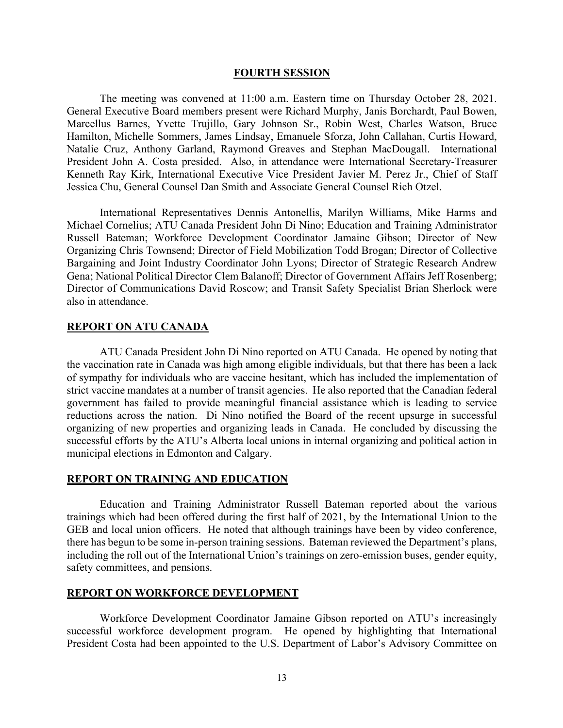#### **FOURTH SESSION**

The meeting was convened at 11:00 a.m. Eastern time on Thursday October 28, 2021. General Executive Board members present were Richard Murphy, Janis Borchardt, Paul Bowen, Marcellus Barnes, Yvette Trujillo, Gary Johnson Sr., Robin West, Charles Watson, Bruce Hamilton, Michelle Sommers, James Lindsay, Emanuele Sforza, John Callahan, Curtis Howard, Natalie Cruz, Anthony Garland, Raymond Greaves and Stephan MacDougall. International President John A. Costa presided. Also, in attendance were International Secretary-Treasurer Kenneth Ray Kirk, International Executive Vice President Javier M. Perez Jr., Chief of Staff Jessica Chu, General Counsel Dan Smith and Associate General Counsel Rich Otzel.

International Representatives Dennis Antonellis, Marilyn Williams, Mike Harms and Michael Cornelius; ATU Canada President John Di Nino; Education and Training Administrator Russell Bateman; Workforce Development Coordinator Jamaine Gibson; Director of New Organizing Chris Townsend; Director of Field Mobilization Todd Brogan; Director of Collective Bargaining and Joint Industry Coordinator John Lyons; Director of Strategic Research Andrew Gena; National Political Director Clem Balanoff; Director of Government Affairs Jeff Rosenberg; Director of Communications David Roscow; and Transit Safety Specialist Brian Sherlock were also in attendance.

### **REPORT ON ATU CANADA**

ATU Canada President John Di Nino reported on ATU Canada. He opened by noting that the vaccination rate in Canada was high among eligible individuals, but that there has been a lack of sympathy for individuals who are vaccine hesitant, which has included the implementation of strict vaccine mandates at a number of transit agencies. He also reported that the Canadian federal government has failed to provide meaningful financial assistance which is leading to service reductions across the nation. Di Nino notified the Board of the recent upsurge in successful organizing of new properties and organizing leads in Canada. He concluded by discussing the successful efforts by the ATU's Alberta local unions in internal organizing and political action in municipal elections in Edmonton and Calgary.

#### **REPORT ON TRAINING AND EDUCATION**

Education and Training Administrator Russell Bateman reported about the various trainings which had been offered during the first half of 2021, by the International Union to the GEB and local union officers. He noted that although trainings have been by video conference, there has begun to be some in-person training sessions. Bateman reviewed the Department's plans, including the roll out of the International Union's trainings on zero-emission buses, gender equity, safety committees, and pensions.

#### **REPORT ON WORKFORCE DEVELOPMENT**

Workforce Development Coordinator Jamaine Gibson reported on ATU's increasingly successful workforce development program. He opened by highlighting that International President Costa had been appointed to the U.S. Department of Labor's Advisory Committee on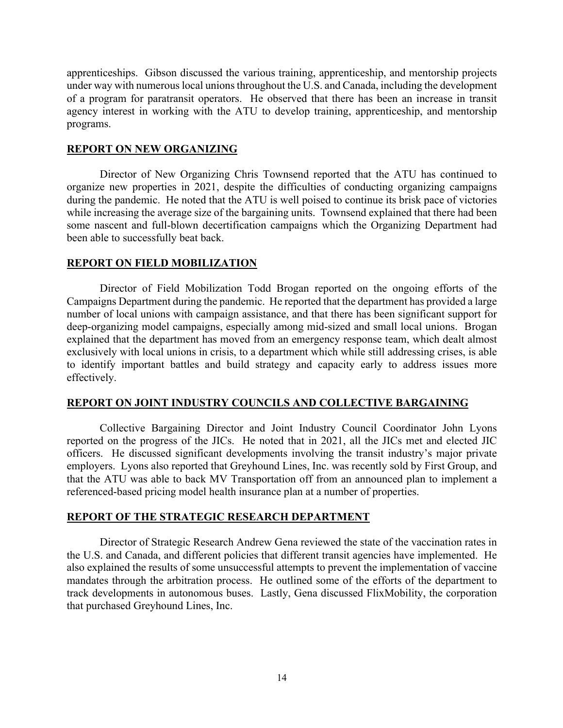apprenticeships. Gibson discussed the various training, apprenticeship, and mentorship projects under way with numerous local unions throughout the U.S. and Canada, including the development of a program for paratransit operators. He observed that there has been an increase in transit agency interest in working with the ATU to develop training, apprenticeship, and mentorship programs.

#### **REPORT ON NEW ORGANIZING**

Director of New Organizing Chris Townsend reported that the ATU has continued to organize new properties in 2021, despite the difficulties of conducting organizing campaigns during the pandemic. He noted that the ATU is well poised to continue its brisk pace of victories while increasing the average size of the bargaining units. Townsend explained that there had been some nascent and full-blown decertification campaigns which the Organizing Department had been able to successfully beat back.

#### **REPORT ON FIELD MOBILIZATION**

Director of Field Mobilization Todd Brogan reported on the ongoing efforts of the Campaigns Department during the pandemic. He reported that the department has provided a large number of local unions with campaign assistance, and that there has been significant support for deep-organizing model campaigns, especially among mid-sized and small local unions. Brogan explained that the department has moved from an emergency response team, which dealt almost exclusively with local unions in crisis, to a department which while still addressing crises, is able to identify important battles and build strategy and capacity early to address issues more effectively.

#### **REPORT ON JOINT INDUSTRY COUNCILS AND COLLECTIVE BARGAINING**

Collective Bargaining Director and Joint Industry Council Coordinator John Lyons reported on the progress of the JICs. He noted that in 2021, all the JICs met and elected JIC officers. He discussed significant developments involving the transit industry's major private employers. Lyons also reported that Greyhound Lines, Inc. was recently sold by First Group, and that the ATU was able to back MV Transportation off from an announced plan to implement a referenced-based pricing model health insurance plan at a number of properties.

#### **REPORT OF THE STRATEGIC RESEARCH DEPARTMENT**

Director of Strategic Research Andrew Gena reviewed the state of the vaccination rates in the U.S. and Canada, and different policies that different transit agencies have implemented. He also explained the results of some unsuccessful attempts to prevent the implementation of vaccine mandates through the arbitration process. He outlined some of the efforts of the department to track developments in autonomous buses. Lastly, Gena discussed FlixMobility, the corporation that purchased Greyhound Lines, Inc.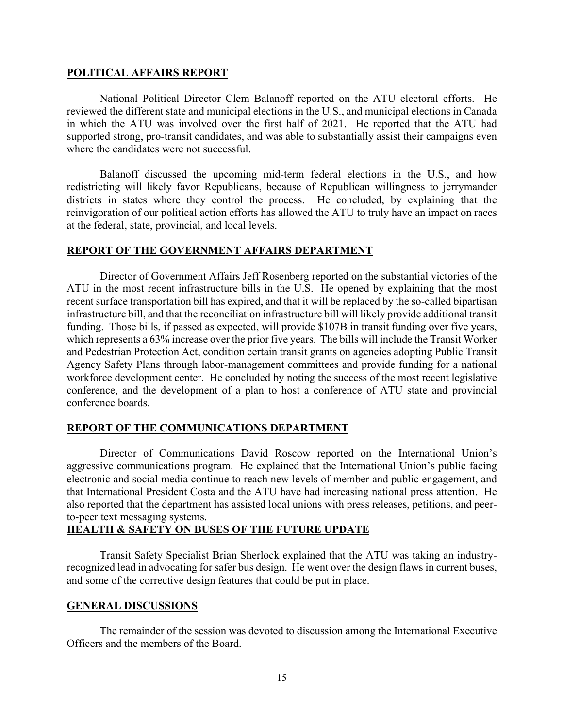#### **POLITICAL AFFAIRS REPORT**

National Political Director Clem Balanoff reported on the ATU electoral efforts. He reviewed the different state and municipal elections in the U.S., and municipal elections in Canada in which the ATU was involved over the first half of 2021. He reported that the ATU had supported strong, pro-transit candidates, and was able to substantially assist their campaigns even where the candidates were not successful.

Balanoff discussed the upcoming mid-term federal elections in the U.S., and how redistricting will likely favor Republicans, because of Republican willingness to jerrymander districts in states where they control the process. He concluded, by explaining that the reinvigoration of our political action efforts has allowed the ATU to truly have an impact on races at the federal, state, provincial, and local levels.

## **REPORT OF THE GOVERNMENT AFFAIRS DEPARTMENT**

Director of Government Affairs Jeff Rosenberg reported on the substantial victories of the ATU in the most recent infrastructure bills in the U.S. He opened by explaining that the most recent surface transportation bill has expired, and that it will be replaced by the so-called bipartisan infrastructure bill, and that the reconciliation infrastructure bill will likely provide additional transit funding. Those bills, if passed as expected, will provide \$107B in transit funding over five years, which represents a 63% increase over the prior five years. The bills will include the Transit Worker and Pedestrian Protection Act, condition certain transit grants on agencies adopting Public Transit Agency Safety Plans through labor-management committees and provide funding for a national workforce development center. He concluded by noting the success of the most recent legislative conference, and the development of a plan to host a conference of ATU state and provincial conference boards.

## **REPORT OF THE COMMUNICATIONS DEPARTMENT**

Director of Communications David Roscow reported on the International Union's aggressive communications program. He explained that the International Union's public facing electronic and social media continue to reach new levels of member and public engagement, and that International President Costa and the ATU have had increasing national press attention. He also reported that the department has assisted local unions with press releases, petitions, and peerto-peer text messaging systems.

## **HEALTH & SAFETY ON BUSES OF THE FUTURE UPDATE**

Transit Safety Specialist Brian Sherlock explained that the ATU was taking an industryrecognized lead in advocating for safer bus design. He went over the design flaws in current buses, and some of the corrective design features that could be put in place.

## **GENERAL DISCUSSIONS**

The remainder of the session was devoted to discussion among the International Executive Officers and the members of the Board.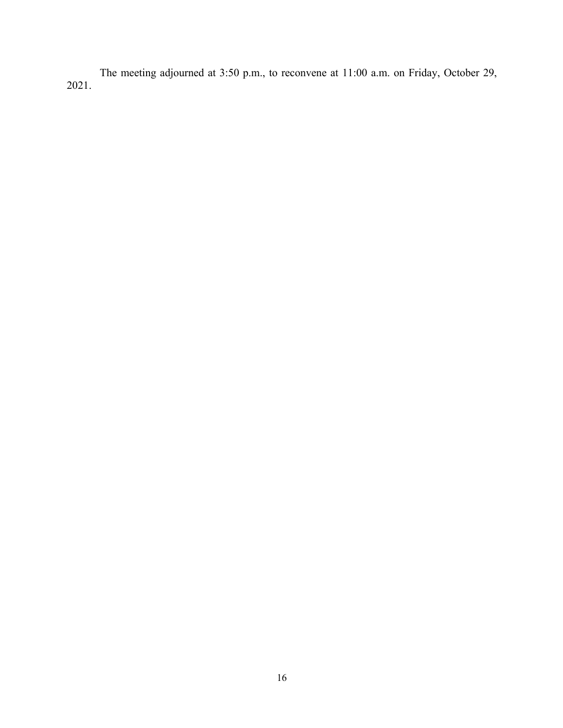The meeting adjourned at 3:50 p.m., to reconvene at 11:00 a.m. on Friday, October 29, 2021.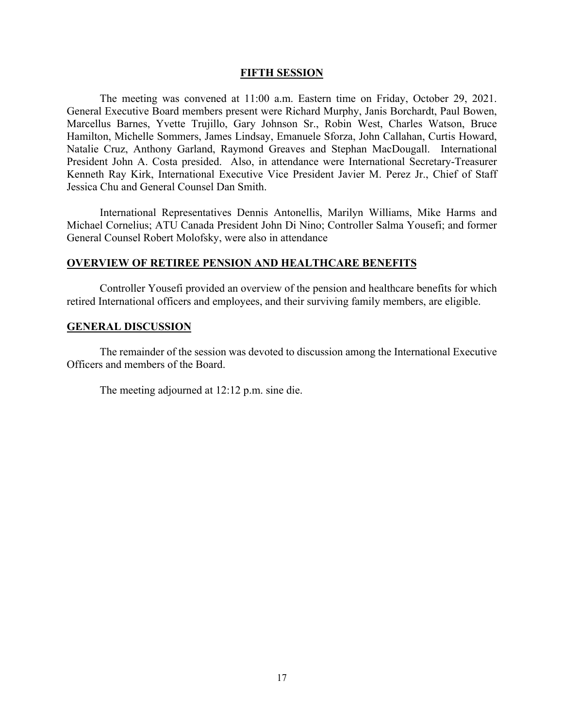#### **FIFTH SESSION**

The meeting was convened at 11:00 a.m. Eastern time on Friday, October 29, 2021. General Executive Board members present were Richard Murphy, Janis Borchardt, Paul Bowen, Marcellus Barnes, Yvette Trujillo, Gary Johnson Sr., Robin West, Charles Watson, Bruce Hamilton, Michelle Sommers, James Lindsay, Emanuele Sforza, John Callahan, Curtis Howard, Natalie Cruz, Anthony Garland, Raymond Greaves and Stephan MacDougall. International President John A. Costa presided. Also, in attendance were International Secretary-Treasurer Kenneth Ray Kirk, International Executive Vice President Javier M. Perez Jr., Chief of Staff Jessica Chu and General Counsel Dan Smith.

International Representatives Dennis Antonellis, Marilyn Williams, Mike Harms and Michael Cornelius; ATU Canada President John Di Nino; Controller Salma Yousefi; and former General Counsel Robert Molofsky, were also in attendance

#### **OVERVIEW OF RETIREE PENSION AND HEALTHCARE BENEFITS**

Controller Yousefi provided an overview of the pension and healthcare benefits for which retired International officers and employees, and their surviving family members, are eligible.

#### **GENERAL DISCUSSION**

The remainder of the session was devoted to discussion among the International Executive Officers and members of the Board.

The meeting adjourned at 12:12 p.m. sine die.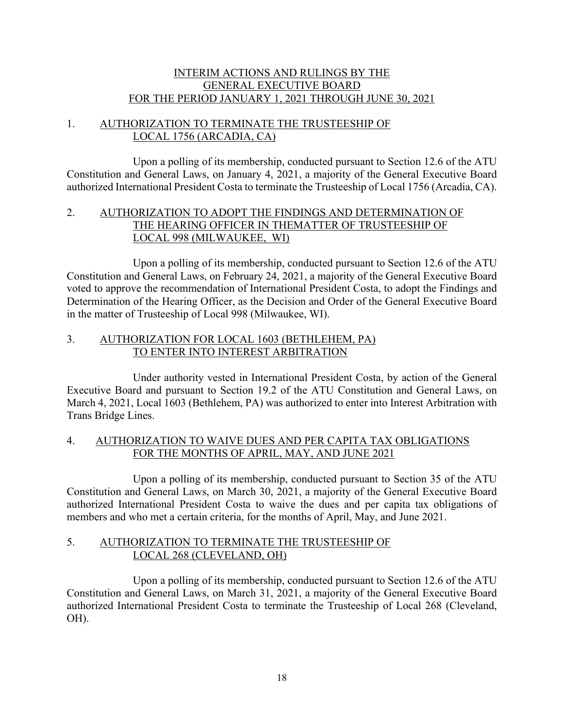## INTERIM ACTIONS AND RULINGS BY THE GENERAL EXECUTIVE BOARD FOR THE PERIOD JANUARY 1, 2021 THROUGH JUNE 30, 2021

## 1. AUTHORIZATION TO TERMINATE THE TRUSTEESHIP OF LOCAL 1756 (ARCADIA, CA)

Upon a polling of its membership, conducted pursuant to Section 12.6 of the ATU Constitution and General Laws, on January 4, 2021, a majority of the General Executive Board authorized International President Costa to terminate the Trusteeship of Local 1756 (Arcadia, CA).

## 2. AUTHORIZATION TO ADOPT THE FINDINGS AND DETERMINATION OF THE HEARING OFFICER IN THEMATTER OF TRUSTEESHIP OF LOCAL 998 (MILWAUKEE, WI)

Upon a polling of its membership, conducted pursuant to Section 12.6 of the ATU Constitution and General Laws, on February 24, 2021, a majority of the General Executive Board voted to approve the recommendation of International President Costa, to adopt the Findings and Determination of the Hearing Officer, as the Decision and Order of the General Executive Board in the matter of Trusteeship of Local 998 (Milwaukee, WI).

## 3. AUTHORIZATION FOR LOCAL 1603 (BETHLEHEM, PA) TO ENTER INTO INTEREST ARBITRATION

Under authority vested in International President Costa, by action of the General Executive Board and pursuant to Section 19.2 of the ATU Constitution and General Laws, on March 4, 2021, Local 1603 (Bethlehem, PA) was authorized to enter into Interest Arbitration with Trans Bridge Lines.

## 4. AUTHORIZATION TO WAIVE DUES AND PER CAPITA TAX OBLIGATIONS FOR THE MONTHS OF APRIL, MAY, AND JUNE 2021

Upon a polling of its membership, conducted pursuant to Section 35 of the ATU Constitution and General Laws, on March 30, 2021, a majority of the General Executive Board authorized International President Costa to waive the dues and per capita tax obligations of members and who met a certain criteria, for the months of April, May, and June 2021.

## 5. AUTHORIZATION TO TERMINATE THE TRUSTEESHIP OF LOCAL 268 (CLEVELAND, OH)

Upon a polling of its membership, conducted pursuant to Section 12.6 of the ATU Constitution and General Laws, on March 31, 2021, a majority of the General Executive Board authorized International President Costa to terminate the Trusteeship of Local 268 (Cleveland, OH).